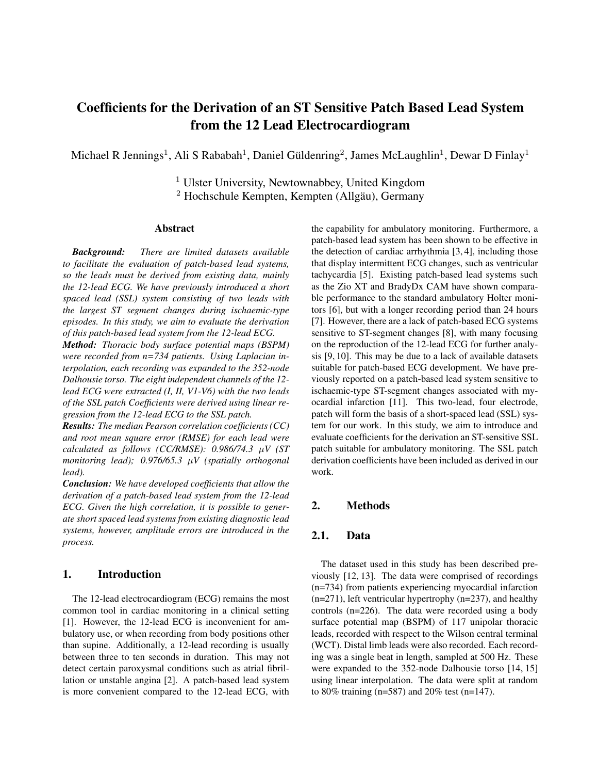# Coefficients for the Derivation of an ST Sensitive Patch Based Lead System from the 12 Lead Electrocardiogram

Michael R Jennings<sup>1</sup>, Ali S Rababah<sup>1</sup>, Daniel Güldenring<sup>2</sup>, James McLaughlin<sup>1</sup>, Dewar D Finlay<sup>1</sup>

<sup>1</sup> Ulster University, Newtownabbey, United Kingdom  $2$  Hochschule Kempten, Kempten (Allgäu), Germany

### Abstract

*Background: There are limited datasets available to facilitate the evaluation of patch-based lead systems, so the leads must be derived from existing data, mainly the 12-lead ECG. We have previously introduced a short spaced lead (SSL) system consisting of two leads with the largest ST segment changes during ischaemic-type episodes. In this study, we aim to evaluate the derivation of this patch-based lead system from the 12-lead ECG.*

*Method: Thoracic body surface potential maps (BSPM) were recorded from n=734 patients. Using Laplacian interpolation, each recording was expanded to the 352-node Dalhousie torso. The eight independent channels of the 12 lead ECG were extracted (I, II, V1-V6) with the two leads of the SSL patch Coefficients were derived using linear regression from the 12-lead ECG to the SSL patch.*

*Results: The median Pearson correlation coefficients (CC) and root mean square error (RMSE) for each lead were calculated as follows (CC/RMSE): 0.986/74.3* µ*V (ST monitoring lead); 0.976/65.3* µ*V (spatially orthogonal lead).*

*Conclusion: We have developed coefficients that allow the derivation of a patch-based lead system from the 12-lead ECG. Given the high correlation, it is possible to generate short spaced lead systems from existing diagnostic lead systems, however, amplitude errors are introduced in the process.*

# 1. Introduction

The 12-lead electrocardiogram (ECG) remains the most common tool in cardiac monitoring in a clinical setting [1]. However, the 12-lead ECG is inconvenient for ambulatory use, or when recording from body positions other than supine. Additionally, a 12-lead recording is usually between three to ten seconds in duration. This may not detect certain paroxysmal conditions such as atrial fibrillation or unstable angina [2]. A patch-based lead system is more convenient compared to the 12-lead ECG, with the capability for ambulatory monitoring. Furthermore, a patch-based lead system has been shown to be effective in the detection of cardiac arrhythmia [3, 4], including those that display intermittent ECG changes, such as ventricular tachycardia [5]. Existing patch-based lead systems such as the Zio XT and BradyDx CAM have shown comparable performance to the standard ambulatory Holter monitors [6], but with a longer recording period than 24 hours [7]. However, there are a lack of patch-based ECG systems sensitive to ST-segment changes [8], with many focusing on the reproduction of the 12-lead ECG for further analysis [9, 10]. This may be due to a lack of available datasets suitable for patch-based ECG development. We have previously reported on a patch-based lead system sensitive to ischaemic-type ST-segment changes associated with myocardial infarction [11]. This two-lead, four electrode, patch will form the basis of a short-spaced lead (SSL) system for our work. In this study, we aim to introduce and evaluate coefficients for the derivation an ST-sensitive SSL patch suitable for ambulatory monitoring. The SSL patch derivation coefficients have been included as derived in our work.

## 2. Methods

# 2.1. Data

The dataset used in this study has been described previously [12, 13]. The data were comprised of recordings (n=734) from patients experiencing myocardial infarction (n=271), left ventricular hypertrophy (n=237), and healthy controls (n=226). The data were recorded using a body surface potential map (BSPM) of 117 unipolar thoracic leads, recorded with respect to the Wilson central terminal (WCT). Distal limb leads were also recorded. Each recording was a single beat in length, sampled at 500 Hz. These were expanded to the 352-node Dalhousie torso [14, 15] using linear interpolation. The data were split at random to 80% training (n=587) and 20% test (n=147).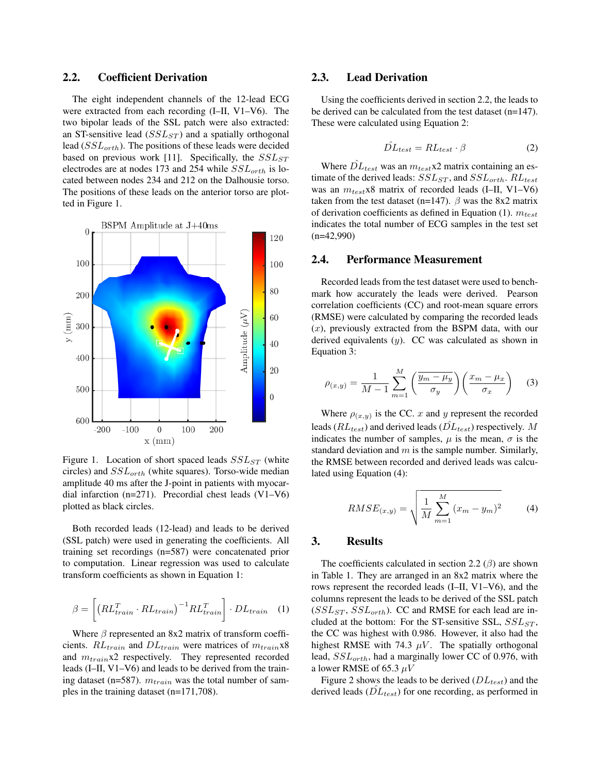## 2.2. Coefficient Derivation

The eight independent channels of the 12-lead ECG were extracted from each recording (I–II, V1–V6). The two bipolar leads of the SSL patch were also extracted: an ST-sensitive lead  $(SSL_{ST})$  and a spatially orthogonal lead  $(SSL<sub>orth</sub>)$ . The positions of these leads were decided based on previous work [11]. Specifically, the  $SSL_{ST}$ electrodes are at nodes 173 and 254 while  $SSL_{orth}$  is located between nodes 234 and 212 on the Dalhousie torso. The positions of these leads on the anterior torso are plotted in Figure 1.



Figure 1. Location of short spaced leads  $SSL_{ST}$  (white circles) and  $SSL_{orth}$  (white squares). Torso-wide median amplitude 40 ms after the J-point in patients with myocardial infarction (n=271). Precordial chest leads (V1–V6) plotted as black circles.

Both recorded leads (12-lead) and leads to be derived (SSL patch) were used in generating the coefficients. All training set recordings (n=587) were concatenated prior to computation. Linear regression was used to calculate transform coefficients as shown in Equation 1:

$$
\beta = \left[ \left( R L_{train}^T \cdot R L_{train} \right)^{-1} R L_{train}^T \right] \cdot D L_{train} \quad (1)
$$

Where  $\beta$  represented an 8x2 matrix of transform coefficients.  $RL_{train}$  and  $DL_{train}$  were matrices of  $m_{train}$ x8 and  $m_{train}$ x2 respectively. They represented recorded leads (I–II, V1–V6) and leads to be derived from the training dataset (n=587).  $m_{train}$  was the total number of samples in the training dataset (n=171,708).

## 2.3. Lead Derivation

Using the coefficients derived in section 2.2, the leads to be derived can be calculated from the test dataset (n=147). These were calculated using Equation 2:

$$
\hat{DL}_{test} = RL_{test} \cdot \beta \tag{2}
$$

Where  $\hat{DL}_{test}$  was an  $m_{test}$ x2 matrix containing an estimate of the derived leads:  $SSL_{ST}$ , and  $SSL_{orth}$ .  $RL_{test}$ was an  $m_{test}$ x8 matrix of recorded leads (I–II, V1–V6) taken from the test dataset (n=147).  $\beta$  was the 8x2 matrix of derivation coefficients as defined in Equation (1).  $m_{test}$ indicates the total number of ECG samples in the test set (n=42,990)

#### 2.4. Performance Measurement

Recorded leads from the test dataset were used to benchmark how accurately the leads were derived. Pearson correlation coefficients (CC) and root-mean square errors (RMSE) were calculated by comparing the recorded leads  $(x)$ , previously extracted from the BSPM data, with our derived equivalents  $(y)$ . CC was calculated as shown in Equation 3:

$$
\rho_{(x,y)} = \frac{1}{M-1} \sum_{m=1}^{M} \left( \frac{\overline{y_m - \mu_y}}{\sigma_y} \right) \left( \frac{x_m - \mu_x}{\sigma_x} \right) \tag{3}
$$

Where  $\rho_{(x,y)}$  is the CC. x and y represent the recorded leads ( $RL_{test}$ ) and derived leads ( $\hat{DL}_{test}$ ) respectively. M indicates the number of samples,  $\mu$  is the mean,  $\sigma$  is the standard deviation and  $m$  is the sample number. Similarly, the RMSE between recorded and derived leads was calculated using Equation (4):

$$
RMSE_{(x,y)} = \sqrt{\frac{1}{M} \sum_{m=1}^{M} (x_m - y_m)^2}
$$
 (4)

#### 3. Results

The coefficients calculated in section 2.2  $(\beta)$  are shown in Table 1. They are arranged in an 8x2 matrix where the rows represent the recorded leads (I–II, V1–V6), and the columns represent the leads to be derived of the SSL patch  $(SSL<sub>ST</sub>, SSL<sub>orth</sub>)$ . CC and RMSE for each lead are included at the bottom: For the ST-sensitive SSL,  $SSL_{ST}$ , the CC was highest with 0.986. However, it also had the highest RMSE with 74.3  $\mu$ V. The spatially orthogonal lead,  $SSL_{orth}$ , had a marginally lower CC of 0.976, with a lower RMSE of 65.3  $\mu$ V

Figure 2 shows the leads to be derived  $(DL_{test})$  and the derived leads  $(\hat{DL}_{test})$  for one recording, as performed in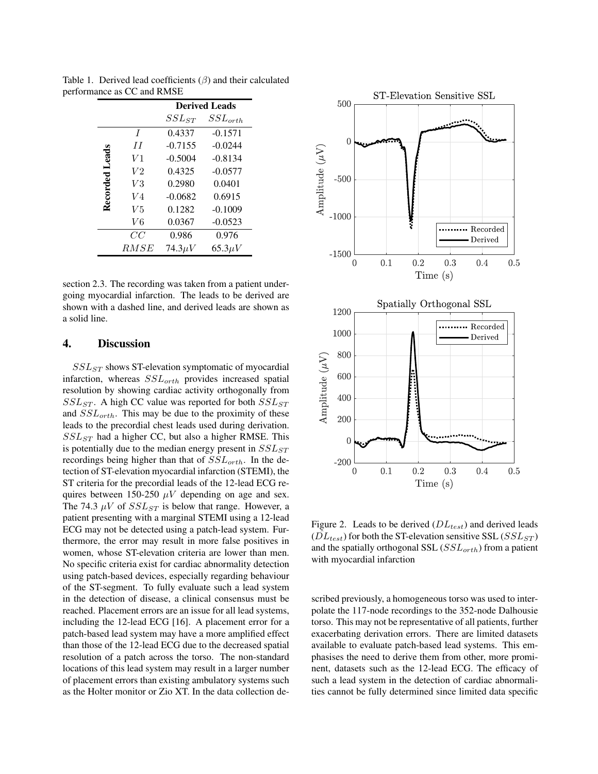|                |                | <b>Derived Leads</b> |              |
|----------------|----------------|----------------------|--------------|
|                |                | $SSL_{ST}$           | $SSL_{orth}$ |
| Recorded Leads | $\overline{I}$ | 0.4337               | $-0.1571$    |
|                | II             | $-0.7155$            | $-0.0244$    |
|                | V1             | $-0.5004$            | $-0.8134$    |
|                | V <sub>2</sub> | 0.4325               | $-0.0577$    |
|                | V3             | 0.2980               | 0.0401       |
|                | $V_4$          | $-0.0682$            | 0.6915       |
|                | V5             | 0.1282               | $-0.1009$    |
|                | V6             | 0.0367               | $-0.0523$    |
|                | CC             | 0.986                | 0.976        |
|                | RMSE           | $74.3\mu V$          | $65.3 \mu V$ |

Table 1. Derived lead coefficients  $(\beta)$  and their calculated performance as CC and RMSE

section 2.3. The recording was taken from a patient undergoing myocardial infarction. The leads to be derived are shown with a dashed line, and derived leads are shown as a solid line.

## 4. Discussion

 $SSL_{ST}$  shows ST-elevation symptomatic of myocardial infarction, whereas  $SSL_{orth}$  provides increased spatial resolution by showing cardiac activity orthogonally from  $SSL_{ST}$ . A high CC value was reported for both  $SSL_{ST}$ and  $SSL_{orth}$ . This may be due to the proximity of these leads to the precordial chest leads used during derivation.  $SSL_{ST}$  had a higher CC, but also a higher RMSE. This is potentially due to the median energy present in  $SSL_{ST}$ recordings being higher than that of  $SSL_{orth}$ . In the detection of ST-elevation myocardial infarction (STEMI), the ST criteria for the precordial leads of the 12-lead ECG requires between 150-250  $\mu$ V depending on age and sex. The 74.3  $\mu$ V of  $SSL_{ST}$  is below that range. However, a patient presenting with a marginal STEMI using a 12-lead ECG may not be detected using a patch-lead system. Furthermore, the error may result in more false positives in women, whose ST-elevation criteria are lower than men. No specific criteria exist for cardiac abnormality detection using patch-based devices, especially regarding behaviour of the ST-segment. To fully evaluate such a lead system in the detection of disease, a clinical consensus must be reached. Placement errors are an issue for all lead systems, including the 12-lead ECG [16]. A placement error for a patch-based lead system may have a more amplified effect than those of the 12-lead ECG due to the decreased spatial resolution of a patch across the torso. The non-standard locations of this lead system may result in a larger number of placement errors than existing ambulatory systems such as the Holter monitor or Zio XT. In the data collection de-



Figure 2. Leads to be derived  $(DL_{test})$  and derived leads  $\tilde{DL}_{test}$ ) for both the ST-elevation sensitive SSL ( $SSL_{ST}$ ) and the spatially orthogonal SSL ( $SSL_{orth}$ ) from a patient with myocardial infarction

scribed previously, a homogeneous torso was used to interpolate the 117-node recordings to the 352-node Dalhousie torso. This may not be representative of all patients, further exacerbating derivation errors. There are limited datasets available to evaluate patch-based lead systems. This emphasises the need to derive them from other, more prominent, datasets such as the 12-lead ECG. The efficacy of such a lead system in the detection of cardiac abnormalities cannot be fully determined since limited data specific